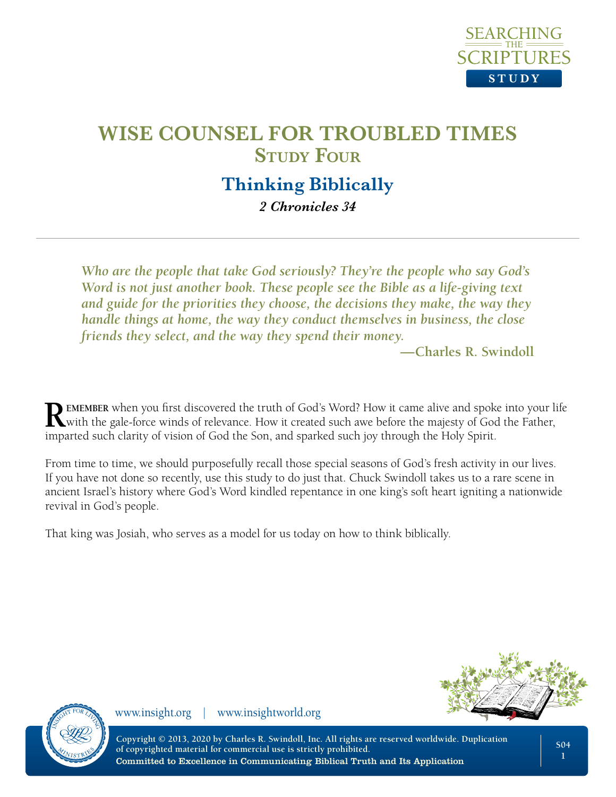

## **Thinking Biblically**

*2 Chronicles 34*

*Who are the people that take God seriously? They're the people who say God's Word is not just another book. These people see the Bible as a life-giving text and guide for the priorities they choose, the decisions they make, the way they handle things at home, the way they conduct themselves in business, the close friends they select, and the way they spend their money.* 

**—Charles R. Swindoll**

**REMEMBER** when you first discovered the truth of God's Word? How it came alive and spoke into your life with the gale-force winds of relevance. How it created such awe before the majesty of God the Father, imparted such clarity of vision of God the Son, and sparked such joy through the Holy Spirit.

From time to time, we should purposefully recall those special seasons of God's fresh activity in our lives. If you have not done so recently, use this study to do just that. Chuck Swindoll takes us to a rare scene in ancient Israel's history where God's Word kindled repentance in one king's soft heart igniting a nationwide revival in God's people.

That king was Josiah, who serves as a model for us today on how to think biblically.



www.insight.org | www.insightworld.org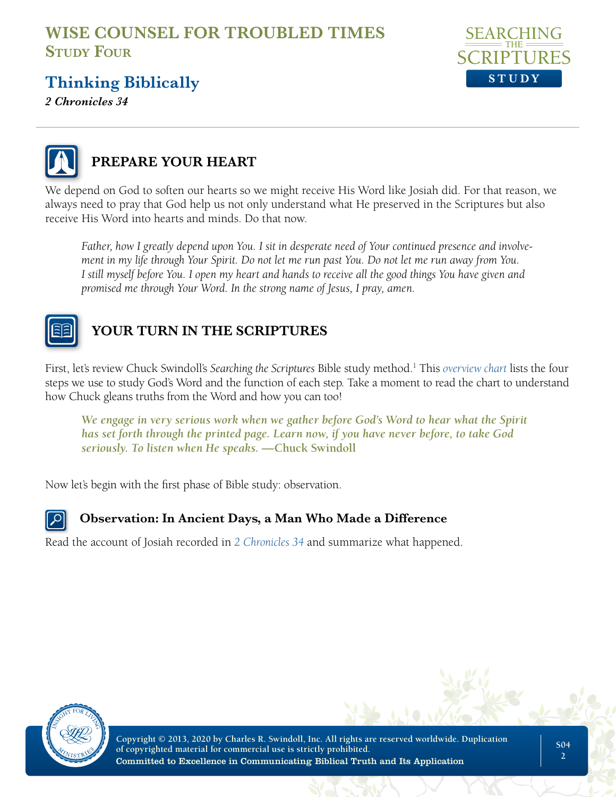

# **Thinking Biblically**

*2 Chronicles 34*



## **PREPARE YOUR HEART**

We depend on God to soften our hearts so we might receive His Word like Josiah did. For that reason, we always need to pray that God help us not only understand what He preserved in the Scriptures but also receive His Word into hearts and minds. Do that now.

*Father, how I greatly depend upon You. I sit in desperate need of Your continued presence and involvement in my life through Your Spirit. Do not let me run past You. Do not let me run away from You. I still myself before You. I open my heart and hands to receive all the good things You have given and promised me through Your Word. In the strong name of Jesus, I pray, amen.*



## **YOUR TURN IN THE SCRIPTURES**

First, let's review Chuck Swindoll's *Searching the Scriptures* Bible study method.1 This *[overview chart](https://mk0insightworld41bne.kinstacdn.com/wp-content/uploads/sites/8/2019/09/STS-Overview-Chart.pdf)* lists the four steps we use to study God's Word and the function of each step. Take a moment to read the chart to understand how Chuck gleans truths from the Word and how you can too!

*We engage in very serious work when we gather before God's Word to hear what the Spirit has set forth through the printed page. Learn now, if you have never before, to take God seriously. To listen when He speaks.* **—Chuck Swindoll**

Now let's begin with the first phase of Bible study: observation.



#### **Observation: In Ancient Days, a Man Who Made a Difference**

Read the account of Josiah recorded in *[2 Chronicles 34](https://www.biblegateway.com/passage/?search=2%20Chronicles%2034&version=NLT;NASB)* and summarize what happened.



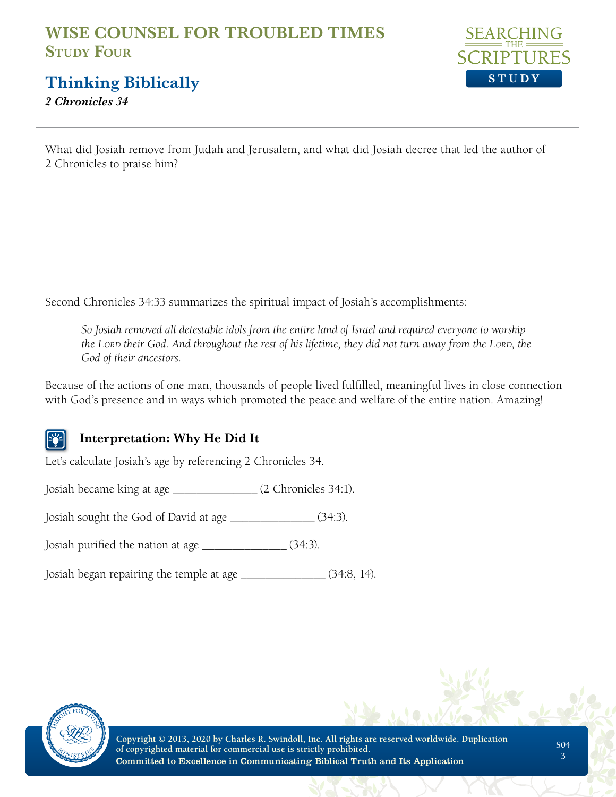

**Thinking Biblically**

*2 Chronicles 34*

What did Josiah remove from Judah and Jerusalem, and what did Josiah decree that led the author of 2 Chronicles to praise him?

Second Chronicles 34:33 summarizes the spiritual impact of Josiah's accomplishments:

*So Josiah removed all detestable idols from the entire land of Israel and required everyone to worship the L*ORD their God. And throughout the rest of his lifetime, they did not turn away from the LORD, the *God of their ancestors.*

Because of the actions of one man, thousands of people lived fulfilled, meaningful lives in close connection with God's presence and in ways which promoted the peace and welfare of the entire nation. Amazing!

### **Interpretation: Why He Did It**

Let's calculate Josiah's age by referencing 2 Chronicles 34.

Josiah became king at age \_\_\_\_\_\_\_\_\_\_\_\_\_\_ (2 Chronicles 34:1).

Josiah sought the God of David at age \_\_\_\_\_\_\_\_\_\_\_\_\_\_ (34:3).

Josiah purified the nation at age \_\_\_\_\_\_\_\_\_\_\_\_\_\_ (34:3).

Josiah began repairing the temple at age \_\_\_\_\_\_\_\_\_\_\_\_\_\_ (34:8, 14).



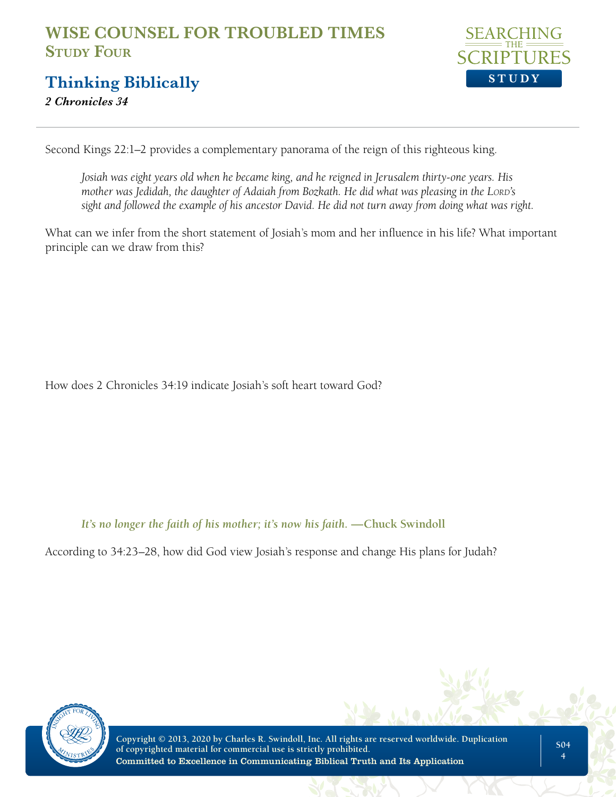

## **Thinking Biblically**

*2 Chronicles 34*

Second Kings 22:1–2 provides a complementary panorama of the reign of this righteous king.

*Josiah was eight years old when he became king, and he reigned in Jerusalem thirty-one years. His mother was Jedidah, the daughter of Adaiah from Bozkath. He did what was pleasing in the LORD's sight and followed the example of his ancestor David. He did not turn away from doing what was right.*

What can we infer from the short statement of Josiah's mom and her influence in his life? What important principle can we draw from this?

How does 2 Chronicles 34:19 indicate Josiah's soft heart toward God?

*It's no longer the faith of his mother; it's now his faith.* —Chuck Swindoll

According to 34:23–28, how did God view Josiah's response and change His plans for Judah?

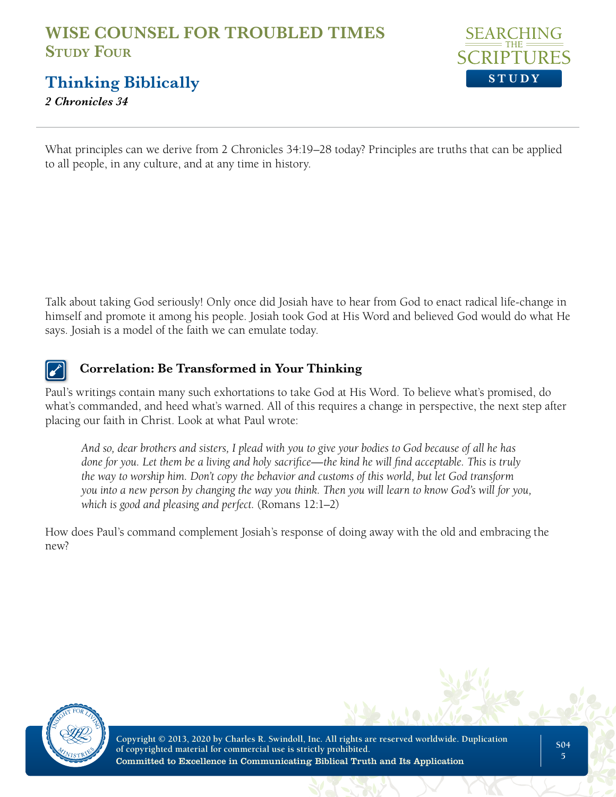

**Thinking Biblically**

*2 Chronicles 34*

What principles can we derive from 2 Chronicles 34:19–28 today? Principles are truths that can be applied to all people, in any culture, and at any time in history.

Talk about taking God seriously! Only once did Josiah have to hear from God to enact radical life-change in himself and promote it among his people. Josiah took God at His Word and believed God would do what He says. Josiah is a model of the faith we can emulate today.



#### **Correlation: Be Transformed in Your Thinking**

Paul's writings contain many such exhortations to take God at His Word. To believe what's promised, do what's commanded, and heed what's warned. All of this requires a change in perspective, the next step after placing our faith in Christ. Look at what Paul wrote:

*And so, dear brothers and sisters, I plead with you to give your bodies to God because of all he has done for you. Let them be a living and holy sacrifice—the kind he will find acceptable. This is truly the way to worship him. Don't copy the behavior and customs of this world, but let God transform you into a new person by changing the way you think. Then you will learn to know God's will for you, which is good and pleasing and perfect.* (Romans 12:1–2)

How does Paul's command complement Josiah's response of doing away with the old and embracing the new?

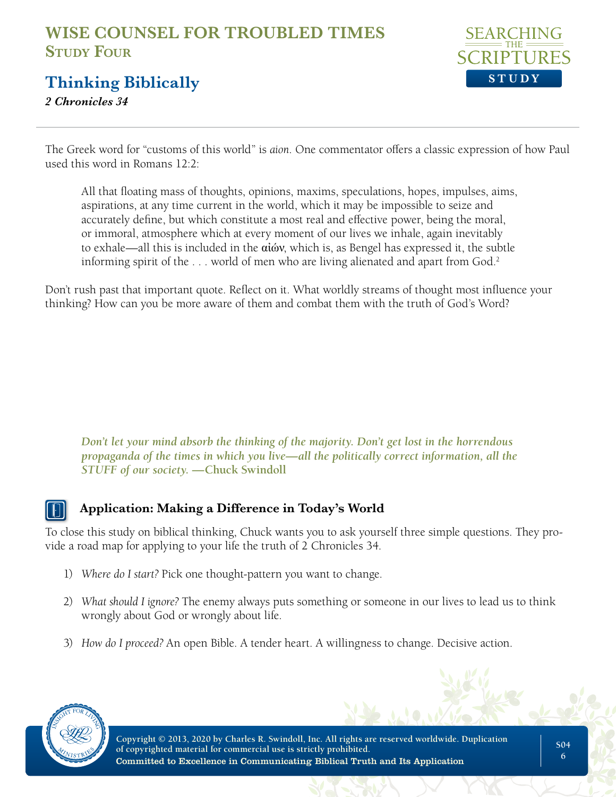

## **Thinking Biblically**

*2 Chronicles 34*

The Greek word for "customs of this world" is *aion*. One commentator offers a classic expression of how Paul used this word in Romans 12:2:

All that floating mass of thoughts, opinions, maxims, speculations, hopes, impulses, aims, aspirations, at any time current in the world, which it may be impossible to seize and accurately define, but which constitute a most real and effective power, being the moral, or immoral, atmosphere which at every moment of our lives we inhale, again inevitably to exhale—all this is included in the αἰών, which is, as Bengel has expressed it, the subtle informing spirit of the ... world of men who are living alienated and apart from God.<sup>2</sup>

Don't rush past that important quote. Reflect on it. What worldly streams of thought most influence your thinking? How can you be more aware of them and combat them with the truth of God's Word?

*Don't let your mind absorb the thinking of the majority. Don't get lost in the horrendous propaganda of the times in which you live—all the politically correct information, all the STUFF of our society.* **—Chuck Swindoll**

#### **Application: Making a Difference in Today's World**

To close this study on biblical thinking, Chuck wants you to ask yourself three simple questions. They provide a road map for applying to your life the truth of 2 Chronicles 34.

- 1) *Where do I start?* Pick one thought-pattern you want to change.
- 2) *What should I ignore?* The enemy always puts something or someone in our lives to lead us to think wrongly about God or wrongly about life.
- 3) *How do I proceed?* An open Bible. A tender heart. A willingness to change. Decisive action.

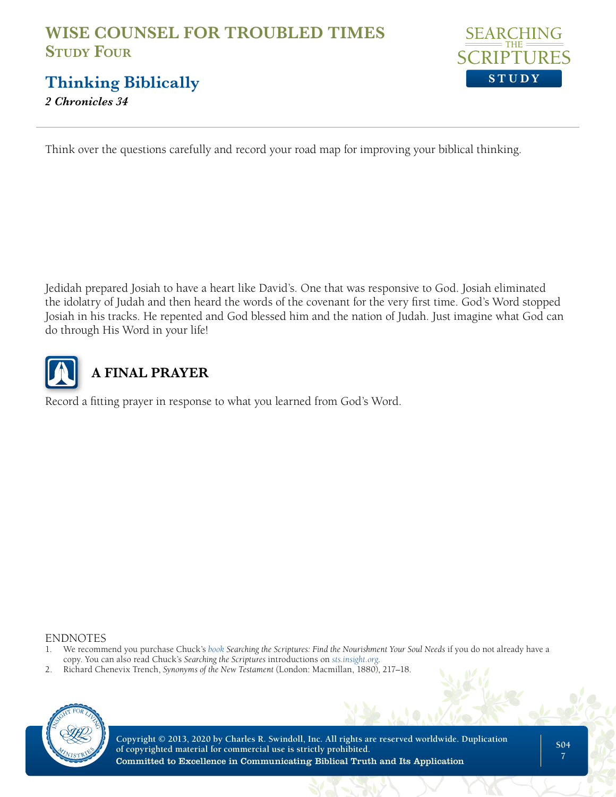

**Thinking Biblically**

*2 Chronicles 34*

Think over the questions carefully and record your road map for improving your biblical thinking.

Jedidah prepared Josiah to have a heart like David's. One that was responsive to God. Josiah eliminated the idolatry of Judah and then heard the words of the covenant for the very first time. God's Word stopped Josiah in his tracks. He repented and God blessed him and the nation of Judah. Just imagine what God can do through His Word in your life!



# **A FINAL PRAYER**

Record a fitting prayer in response to what you learned from God's Word.

ENDNOTES

- 1. We recommend you purchase Chuck's *[book](https://store.insight.org/p-1713-searching-the-scriptures-find-the-nourishment-your-soul-needs-emby-charles-r-swindollem.aspx) Searching the Scriptures: Find the Nourishment Your Soul Needs* if you do not already have a copy. You can also read Chuck's *Searching the Scriptures* introductions on *[sts.insight.org](https://sts.insight.org/)*.
- 2. Richard Chenevix Trench, *Synonyms of the New Testament* (London: Macmillan, 1880), 217–18.